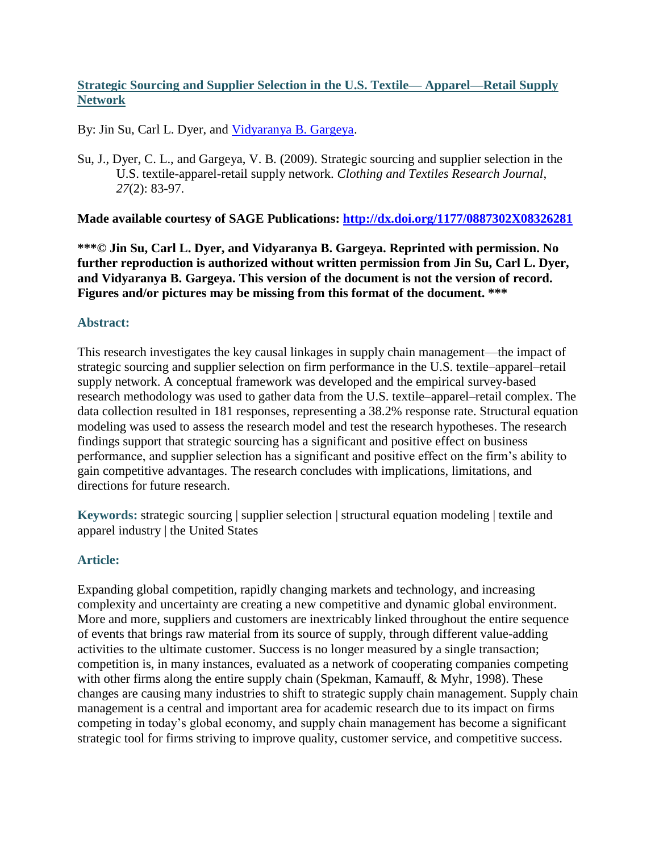**Strategic Sourcing and Supplier Selection in the U.S. Textile— Apparel—Retail Supply Network**

By: Jin Su, Carl L. Dyer, and [Vidyaranya B. Gargeya.](https://libres.uncg.edu/ir/uncg/clist.aspx?id=775)

Su, J., Dyer, C. L., and Gargeya, V. B. (2009). Strategic sourcing and supplier selection in the U.S. textile-apparel-retail supply network. *Clothing and Textiles Research Journal*, *27*(2): 83-97.

**Made available courtesy of SAGE Publications:<http://dx.doi.org/1177/0887302X08326281>**

**\*\*\*© Jin Su, Carl L. Dyer, and Vidyaranya B. Gargeya. Reprinted with permission. No further reproduction is authorized without written permission from Jin Su, Carl L. Dyer, and Vidyaranya B. Gargeya. This version of the document is not the version of record. Figures and/or pictures may be missing from this format of the document. \*\*\***

## **Abstract:**

This research investigates the key causal linkages in supply chain management—the impact of strategic sourcing and supplier selection on firm performance in the U.S. textile–apparel–retail supply network. A conceptual framework was developed and the empirical survey-based research methodology was used to gather data from the U.S. textile–apparel–retail complex. The data collection resulted in 181 responses, representing a 38.2% response rate. Structural equation modeling was used to assess the research model and test the research hypotheses. The research findings support that strategic sourcing has a significant and positive effect on business performance, and supplier selection has a significant and positive effect on the firm's ability to gain competitive advantages. The research concludes with implications, limitations, and directions for future research.

**Keywords:** strategic sourcing | supplier selection | structural equation modeling | textile and apparel industry | the United States

# **Article:**

Expanding global competition, rapidly changing markets and technology, and increasing complexity and uncertainty are creating a new competitive and dynamic global environment. More and more, suppliers and customers are inextricably linked throughout the entire sequence of events that brings raw material from its source of supply, through different value-adding activities to the ultimate customer. Success is no longer measured by a single transaction; competition is, in many instances, evaluated as a network of cooperating companies competing with other firms along the entire supply chain (Spekman, Kamauff, & Myhr, 1998). These changes are causing many industries to shift to strategic supply chain management. Supply chain management is a central and important area for academic research due to its impact on firms competing in today's global economy, and supply chain management has become a significant strategic tool for firms striving to improve quality, customer service, and competitive success.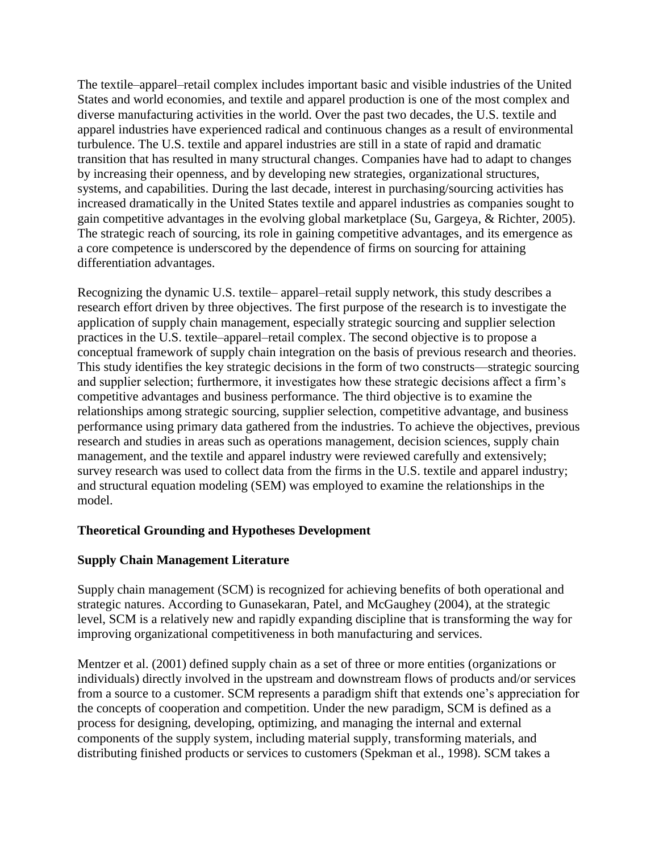The textile–apparel–retail complex includes important basic and visible industries of the United States and world economies, and textile and apparel production is one of the most complex and diverse manufacturing activities in the world. Over the past two decades, the U.S. textile and apparel industries have experienced radical and continuous changes as a result of environmental turbulence. The U.S. textile and apparel industries are still in a state of rapid and dramatic transition that has resulted in many structural changes. Companies have had to adapt to changes by increasing their openness, and by developing new strategies, organizational structures, systems, and capabilities. During the last decade, interest in purchasing/sourcing activities has increased dramatically in the United States textile and apparel industries as companies sought to gain competitive advantages in the evolving global marketplace (Su, Gargeya, & Richter, 2005). The strategic reach of sourcing, its role in gaining competitive advantages, and its emergence as a core competence is underscored by the dependence of firms on sourcing for attaining differentiation advantages.

Recognizing the dynamic U.S. textile– apparel–retail supply network, this study describes a research effort driven by three objectives. The first purpose of the research is to investigate the application of supply chain management, especially strategic sourcing and supplier selection practices in the U.S. textile–apparel–retail complex. The second objective is to propose a conceptual framework of supply chain integration on the basis of previous research and theories. This study identifies the key strategic decisions in the form of two constructs—strategic sourcing and supplier selection; furthermore, it investigates how these strategic decisions affect a firm's competitive advantages and business performance. The third objective is to examine the relationships among strategic sourcing, supplier selection, competitive advantage, and business performance using primary data gathered from the industries. To achieve the objectives, previous research and studies in areas such as operations management, decision sciences, supply chain management, and the textile and apparel industry were reviewed carefully and extensively; survey research was used to collect data from the firms in the U.S. textile and apparel industry; and structural equation modeling (SEM) was employed to examine the relationships in the model.

#### **Theoretical Grounding and Hypotheses Development**

#### **Supply Chain Management Literature**

Supply chain management (SCM) is recognized for achieving benefits of both operational and strategic natures. According to Gunasekaran, Patel, and McGaughey (2004), at the strategic level, SCM is a relatively new and rapidly expanding discipline that is transforming the way for improving organizational competitiveness in both manufacturing and services.

Mentzer et al. (2001) defined supply chain as a set of three or more entities (organizations or individuals) directly involved in the upstream and downstream flows of products and/or services from a source to a customer. SCM represents a paradigm shift that extends one's appreciation for the concepts of cooperation and competition. Under the new paradigm, SCM is defined as a process for designing, developing, optimizing, and managing the internal and external components of the supply system, including material supply, transforming materials, and distributing finished products or services to customers (Spekman et al., 1998). SCM takes a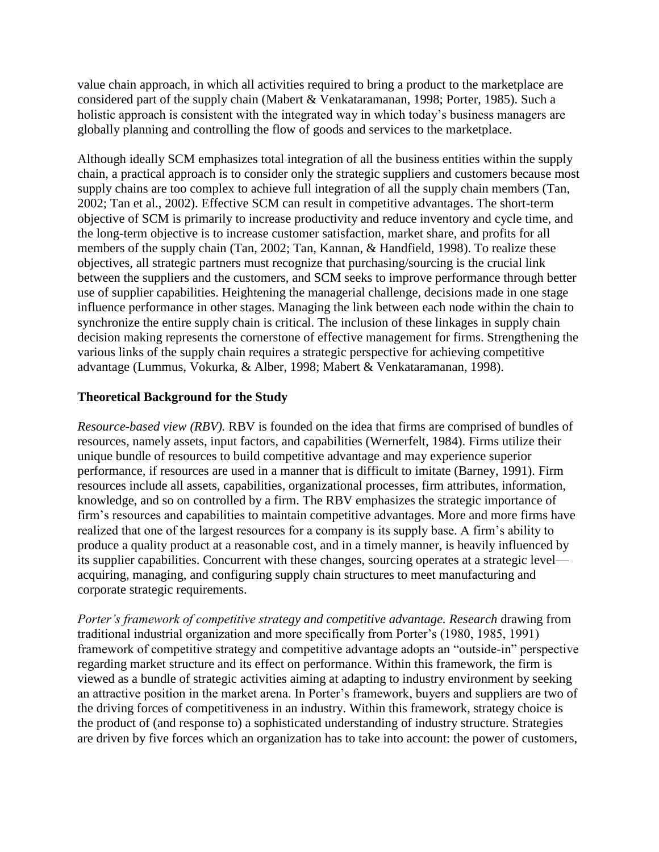value chain approach, in which all activities required to bring a product to the marketplace are considered part of the supply chain (Mabert & Venkataramanan, 1998; Porter, 1985). Such a holistic approach is consistent with the integrated way in which today's business managers are globally planning and controlling the flow of goods and services to the marketplace.

Although ideally SCM emphasizes total integration of all the business entities within the supply chain, a practical approach is to consider only the strategic suppliers and customers because most supply chains are too complex to achieve full integration of all the supply chain members (Tan, 2002; Tan et al., 2002). Effective SCM can result in competitive advantages. The short-term objective of SCM is primarily to increase productivity and reduce inventory and cycle time, and the long-term objective is to increase customer satisfaction, market share, and profits for all members of the supply chain (Tan, 2002; Tan, Kannan, & Handfield, 1998). To realize these objectives, all strategic partners must recognize that purchasing/sourcing is the crucial link between the suppliers and the customers, and SCM seeks to improve performance through better use of supplier capabilities. Heightening the managerial challenge, decisions made in one stage influence performance in other stages. Managing the link between each node within the chain to synchronize the entire supply chain is critical. The inclusion of these linkages in supply chain decision making represents the cornerstone of effective management for firms. Strengthening the various links of the supply chain requires a strategic perspective for achieving competitive advantage (Lummus, Vokurka, & Alber, 1998; Mabert & Venkataramanan, 1998).

## **Theoretical Background for the Study**

*Resource-based view (RBV).* RBV is founded on the idea that firms are comprised of bundles of resources, namely assets, input factors, and capabilities (Wernerfelt, 1984). Firms utilize their unique bundle of resources to build competitive advantage and may experience superior performance, if resources are used in a manner that is difficult to imitate (Barney, 1991). Firm resources include all assets, capabilities, organizational processes, firm attributes, information, knowledge, and so on controlled by a firm. The RBV emphasizes the strategic importance of firm's resources and capabilities to maintain competitive advantages. More and more firms have realized that one of the largest resources for a company is its supply base. A firm's ability to produce a quality product at a reasonable cost, and in a timely manner, is heavily influenced by its supplier capabilities. Concurrent with these changes, sourcing operates at a strategic level acquiring, managing, and configuring supply chain structures to meet manufacturing and corporate strategic requirements.

*Porter's framework of competitive strategy and competitive advantage. Research* drawing from traditional industrial organization and more specifically from Porter's (1980, 1985, 1991) framework of competitive strategy and competitive advantage adopts an "outside-in" perspective regarding market structure and its effect on performance. Within this framework, the firm is viewed as a bundle of strategic activities aiming at adapting to industry environment by seeking an attractive position in the market arena. In Porter's framework, buyers and suppliers are two of the driving forces of competitiveness in an industry. Within this framework, strategy choice is the product of (and response to) a sophisticated understanding of industry structure. Strategies are driven by five forces which an organization has to take into account: the power of customers,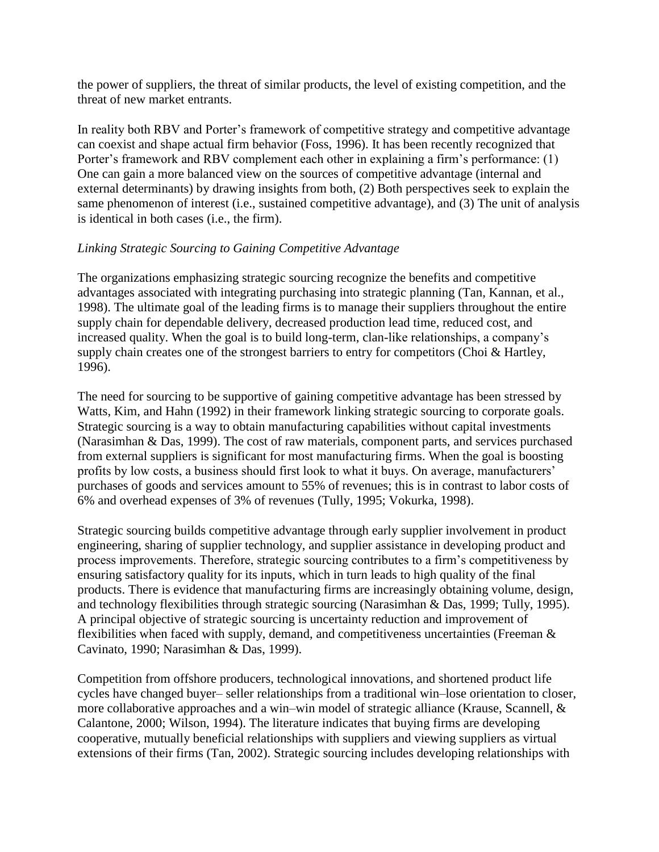the power of suppliers, the threat of similar products, the level of existing competition, and the threat of new market entrants.

In reality both RBV and Porter's framework of competitive strategy and competitive advantage can coexist and shape actual firm behavior (Foss, 1996). It has been recently recognized that Porter's framework and RBV complement each other in explaining a firm's performance: (1) One can gain a more balanced view on the sources of competitive advantage (internal and external determinants) by drawing insights from both, (2) Both perspectives seek to explain the same phenomenon of interest (i.e., sustained competitive advantage), and (3) The unit of analysis is identical in both cases (i.e., the firm).

### *Linking Strategic Sourcing to Gaining Competitive Advantage*

The organizations emphasizing strategic sourcing recognize the benefits and competitive advantages associated with integrating purchasing into strategic planning (Tan, Kannan, et al., 1998). The ultimate goal of the leading firms is to manage their suppliers throughout the entire supply chain for dependable delivery, decreased production lead time, reduced cost, and increased quality. When the goal is to build long-term, clan-like relationships, a company's supply chain creates one of the strongest barriers to entry for competitors (Choi & Hartley, 1996).

The need for sourcing to be supportive of gaining competitive advantage has been stressed by Watts, Kim, and Hahn (1992) in their framework linking strategic sourcing to corporate goals. Strategic sourcing is a way to obtain manufacturing capabilities without capital investments (Narasimhan & Das, 1999). The cost of raw materials, component parts, and services purchased from external suppliers is significant for most manufacturing firms. When the goal is boosting profits by low costs, a business should first look to what it buys. On average, manufacturers' purchases of goods and services amount to 55% of revenues; this is in contrast to labor costs of 6% and overhead expenses of 3% of revenues (Tully, 1995; Vokurka, 1998).

Strategic sourcing builds competitive advantage through early supplier involvement in product engineering, sharing of supplier technology, and supplier assistance in developing product and process improvements. Therefore, strategic sourcing contributes to a firm's competitiveness by ensuring satisfactory quality for its inputs, which in turn leads to high quality of the final products. There is evidence that manufacturing firms are increasingly obtaining volume, design, and technology flexibilities through strategic sourcing (Narasimhan & Das, 1999; Tully, 1995). A principal objective of strategic sourcing is uncertainty reduction and improvement of flexibilities when faced with supply, demand, and competitiveness uncertainties (Freeman & Cavinato, 1990; Narasimhan & Das, 1999).

Competition from offshore producers, technological innovations, and shortened product life cycles have changed buyer– seller relationships from a traditional win–lose orientation to closer, more collaborative approaches and a win–win model of strategic alliance (Krause, Scannell, & Calantone, 2000; Wilson, 1994). The literature indicates that buying firms are developing cooperative, mutually beneficial relationships with suppliers and viewing suppliers as virtual extensions of their firms (Tan, 2002). Strategic sourcing includes developing relationships with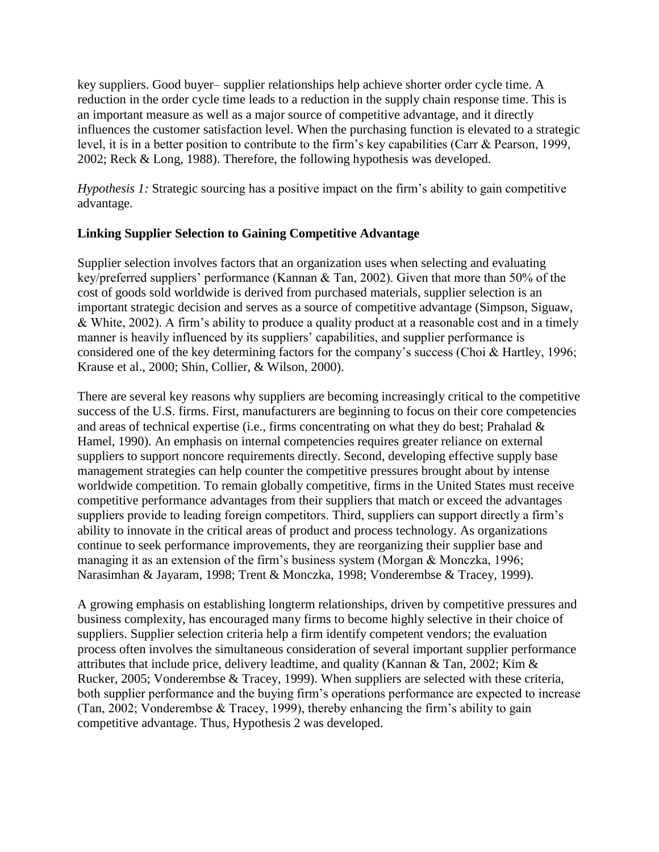key suppliers. Good buyer– supplier relationships help achieve shorter order cycle time. A reduction in the order cycle time leads to a reduction in the supply chain response time. This is an important measure as well as a major source of competitive advantage, and it directly influences the customer satisfaction level. When the purchasing function is elevated to a strategic level, it is in a better position to contribute to the firm's key capabilities (Carr & Pearson, 1999, 2002; Reck & Long, 1988). Therefore, the following hypothesis was developed.

*Hypothesis 1:* Strategic sourcing has a positive impact on the firm's ability to gain competitive advantage.

## **Linking Supplier Selection to Gaining Competitive Advantage**

Supplier selection involves factors that an organization uses when selecting and evaluating key/preferred suppliers' performance (Kannan & Tan, 2002). Given that more than 50% of the cost of goods sold worldwide is derived from purchased materials, supplier selection is an important strategic decision and serves as a source of competitive advantage (Simpson, Siguaw, & White, 2002). A firm's ability to produce a quality product at a reasonable cost and in a timely manner is heavily influenced by its suppliers' capabilities, and supplier performance is considered one of the key determining factors for the company's success (Choi & Hartley, 1996; Krause et al., 2000; Shin, Collier, & Wilson, 2000).

There are several key reasons why suppliers are becoming increasingly critical to the competitive success of the U.S. firms. First, manufacturers are beginning to focus on their core competencies and areas of technical expertise (i.e., firms concentrating on what they do best; Prahalad & Hamel, 1990). An emphasis on internal competencies requires greater reliance on external suppliers to support noncore requirements directly. Second, developing effective supply base management strategies can help counter the competitive pressures brought about by intense worldwide competition. To remain globally competitive, firms in the United States must receive competitive performance advantages from their suppliers that match or exceed the advantages suppliers provide to leading foreign competitors. Third, suppliers can support directly a firm's ability to innovate in the critical areas of product and process technology. As organizations continue to seek performance improvements, they are reorganizing their supplier base and managing it as an extension of the firm's business system (Morgan & Monczka, 1996; Narasimhan & Jayaram, 1998; Trent & Monczka, 1998; Vonderembse & Tracey, 1999).

A growing emphasis on establishing longterm relationships, driven by competitive pressures and business complexity, has encouraged many firms to become highly selective in their choice of suppliers. Supplier selection criteria help a firm identify competent vendors; the evaluation process often involves the simultaneous consideration of several important supplier performance attributes that include price, delivery leadtime, and quality (Kannan & Tan, 2002; Kim & Rucker, 2005; Vonderembse & Tracey, 1999). When suppliers are selected with these criteria, both supplier performance and the buying firm's operations performance are expected to increase (Tan, 2002; Vonderembse & Tracey, 1999), thereby enhancing the firm's ability to gain competitive advantage. Thus, Hypothesis 2 was developed.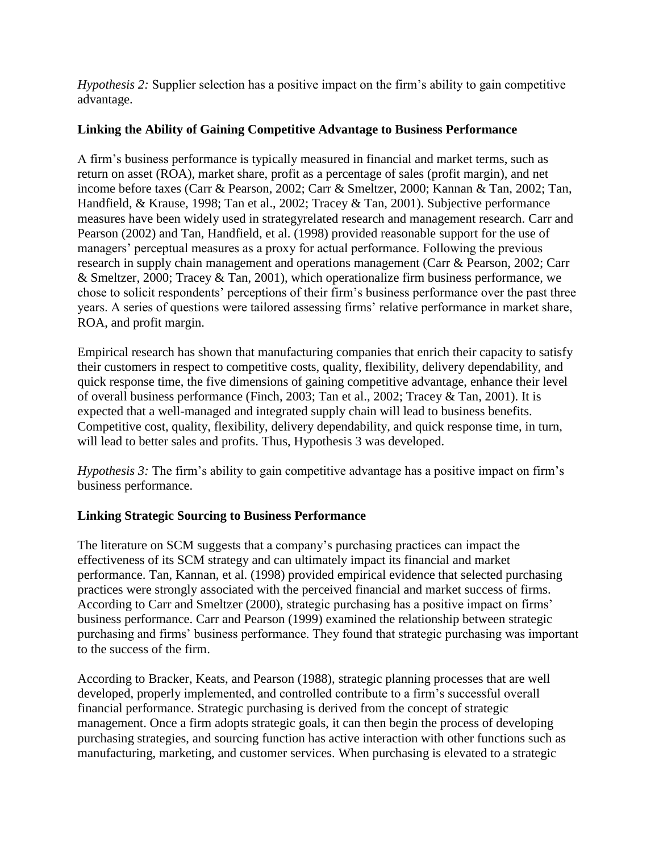*Hypothesis 2:* Supplier selection has a positive impact on the firm's ability to gain competitive advantage.

## **Linking the Ability of Gaining Competitive Advantage to Business Performance**

A firm's business performance is typically measured in financial and market terms, such as return on asset (ROA), market share, profit as a percentage of sales (profit margin), and net income before taxes (Carr & Pearson, 2002; Carr & Smeltzer, 2000; Kannan & Tan, 2002; Tan, Handfield, & Krause, 1998; Tan et al., 2002; Tracey & Tan, 2001). Subjective performance measures have been widely used in strategyrelated research and management research. Carr and Pearson (2002) and Tan, Handfield, et al. (1998) provided reasonable support for the use of managers' perceptual measures as a proxy for actual performance. Following the previous research in supply chain management and operations management (Carr & Pearson, 2002; Carr & Smeltzer, 2000; Tracey & Tan, 2001), which operationalize firm business performance, we chose to solicit respondents' perceptions of their firm's business performance over the past three years. A series of questions were tailored assessing firms' relative performance in market share, ROA, and profit margin.

Empirical research has shown that manufacturing companies that enrich their capacity to satisfy their customers in respect to competitive costs, quality, flexibility, delivery dependability, and quick response time, the five dimensions of gaining competitive advantage, enhance their level of overall business performance (Finch, 2003; Tan et al., 2002; Tracey & Tan, 2001). It is expected that a well-managed and integrated supply chain will lead to business benefits. Competitive cost, quality, flexibility, delivery dependability, and quick response time, in turn, will lead to better sales and profits. Thus, Hypothesis 3 was developed.

*Hypothesis 3:* The firm's ability to gain competitive advantage has a positive impact on firm's business performance.

# **Linking Strategic Sourcing to Business Performance**

The literature on SCM suggests that a company's purchasing practices can impact the effectiveness of its SCM strategy and can ultimately impact its financial and market performance. Tan, Kannan, et al. (1998) provided empirical evidence that selected purchasing practices were strongly associated with the perceived financial and market success of firms. According to Carr and Smeltzer (2000), strategic purchasing has a positive impact on firms' business performance. Carr and Pearson (1999) examined the relationship between strategic purchasing and firms' business performance. They found that strategic purchasing was important to the success of the firm.

According to Bracker, Keats, and Pearson (1988), strategic planning processes that are well developed, properly implemented, and controlled contribute to a firm's successful overall financial performance. Strategic purchasing is derived from the concept of strategic management. Once a firm adopts strategic goals, it can then begin the process of developing purchasing strategies, and sourcing function has active interaction with other functions such as manufacturing, marketing, and customer services. When purchasing is elevated to a strategic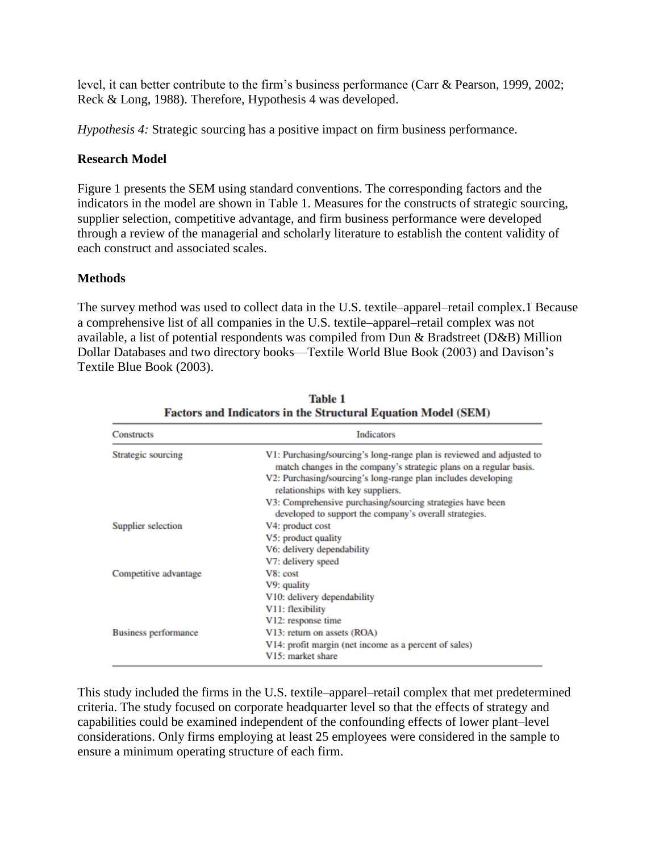level, it can better contribute to the firm's business performance (Carr & Pearson, 1999, 2002; Reck & Long, 1988). Therefore, Hypothesis 4 was developed.

*Hypothesis 4:* Strategic sourcing has a positive impact on firm business performance.

### **Research Model**

Figure 1 presents the SEM using standard conventions. The corresponding factors and the indicators in the model are shown in Table 1. Measures for the constructs of strategic sourcing, supplier selection, competitive advantage, and firm business performance were developed through a review of the managerial and scholarly literature to establish the content validity of each construct and associated scales.

### **Methods**

The survey method was used to collect data in the U.S. textile–apparel–retail complex.1 Because a comprehensive list of all companies in the U.S. textile–apparel–retail complex was not available, a list of potential respondents was compiled from Dun & Bradstreet (D&B) Million Dollar Databases and two directory books—Textile World Blue Book (2003) and Davison's Textile Blue Book (2003).

| <b>Constructs</b>           | <b>Indicators</b>                                                                                                                           |  |  |  |
|-----------------------------|---------------------------------------------------------------------------------------------------------------------------------------------|--|--|--|
| Strategic sourcing          | V1: Purchasing/sourcing's long-range plan is reviewed and adjusted to<br>match changes in the company's strategic plans on a regular basis. |  |  |  |
|                             | V2: Purchasing/sourcing's long-range plan includes developing<br>relationships with key suppliers.                                          |  |  |  |
|                             | V3: Comprehensive purchasing/sourcing strategies have been<br>developed to support the company's overall strategies.                        |  |  |  |
| Supplier selection          | V4: product cost                                                                                                                            |  |  |  |
|                             | V5: product quality                                                                                                                         |  |  |  |
|                             | V6: delivery dependability                                                                                                                  |  |  |  |
|                             | V7: delivery speed                                                                                                                          |  |  |  |
| Competitive advantage       | V8: cost                                                                                                                                    |  |  |  |
|                             | V9: quality                                                                                                                                 |  |  |  |
|                             | V10: delivery dependability                                                                                                                 |  |  |  |
|                             | V11: flexibility                                                                                                                            |  |  |  |
|                             | V12: response time                                                                                                                          |  |  |  |
| <b>Business performance</b> | V13: return on assets (ROA)                                                                                                                 |  |  |  |
|                             | V14: profit margin (net income as a percent of sales)                                                                                       |  |  |  |
|                             | V15: market share                                                                                                                           |  |  |  |

**Table 1 Factors and Indicators in the Structural Equation Model (SEM)** 

This study included the firms in the U.S. textile–apparel–retail complex that met predetermined criteria. The study focused on corporate headquarter level so that the effects of strategy and capabilities could be examined independent of the confounding effects of lower plant–level considerations. Only firms employing at least 25 employees were considered in the sample to ensure a minimum operating structure of each firm.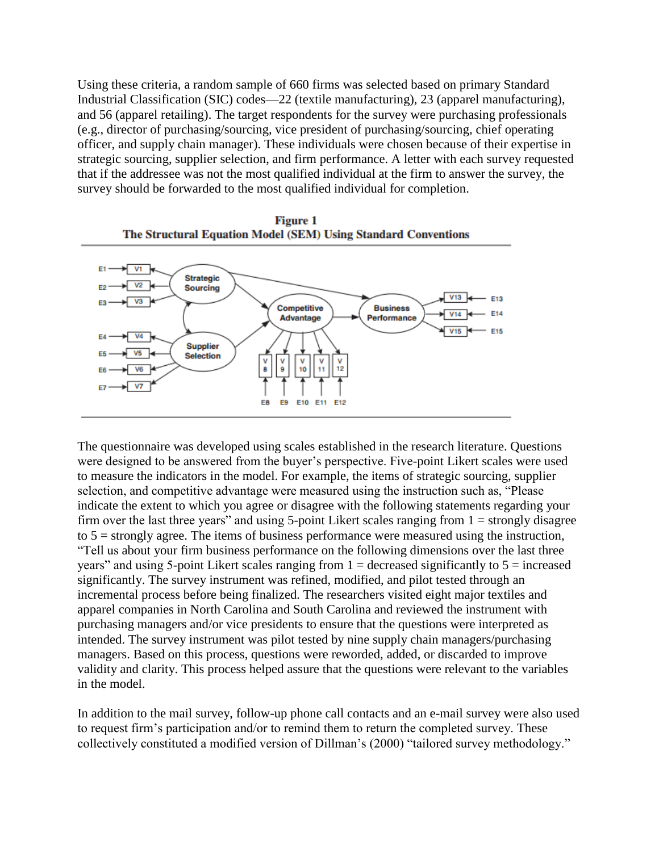Using these criteria, a random sample of 660 firms was selected based on primary Standard Industrial Classification (SIC) codes—22 (textile manufacturing), 23 (apparel manufacturing), and 56 (apparel retailing). The target respondents for the survey were purchasing professionals (e.g., director of purchasing/sourcing, vice president of purchasing/sourcing, chief operating officer, and supply chain manager). These individuals were chosen because of their expertise in strategic sourcing, supplier selection, and firm performance. A letter with each survey requested that if the addressee was not the most qualified individual at the firm to answer the survey, the survey should be forwarded to the most qualified individual for completion.





The questionnaire was developed using scales established in the research literature. Questions were designed to be answered from the buyer's perspective. Five-point Likert scales were used to measure the indicators in the model. For example, the items of strategic sourcing, supplier selection, and competitive advantage were measured using the instruction such as, "Please indicate the extent to which you agree or disagree with the following statements regarding your firm over the last three years" and using 5-point Likert scales ranging from  $1 =$  strongly disagree to  $5 =$  strongly agree. The items of business performance were measured using the instruction, "Tell us about your firm business performance on the following dimensions over the last three years" and using 5-point Likert scales ranging from  $1 =$  decreased significantly to  $5 =$  increased significantly. The survey instrument was refined, modified, and pilot tested through an incremental process before being finalized. The researchers visited eight major textiles and apparel companies in North Carolina and South Carolina and reviewed the instrument with purchasing managers and/or vice presidents to ensure that the questions were interpreted as intended. The survey instrument was pilot tested by nine supply chain managers/purchasing managers. Based on this process, questions were reworded, added, or discarded to improve validity and clarity. This process helped assure that the questions were relevant to the variables in the model.

In addition to the mail survey, follow-up phone call contacts and an e-mail survey were also used to request firm's participation and/or to remind them to return the completed survey. These collectively constituted a modified version of Dillman's (2000) "tailored survey methodology."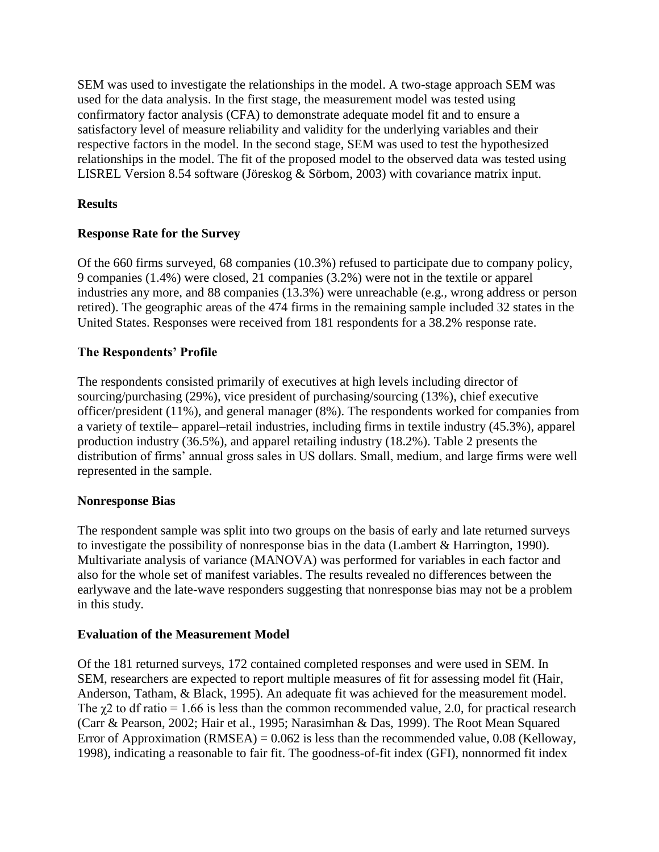SEM was used to investigate the relationships in the model. A two-stage approach SEM was used for the data analysis. In the first stage, the measurement model was tested using confirmatory factor analysis (CFA) to demonstrate adequate model fit and to ensure a satisfactory level of measure reliability and validity for the underlying variables and their respective factors in the model. In the second stage, SEM was used to test the hypothesized relationships in the model. The fit of the proposed model to the observed data was tested using LISREL Version 8.54 software (Jöreskog & Sörbom, 2003) with covariance matrix input.

## **Results**

## **Response Rate for the Survey**

Of the 660 firms surveyed, 68 companies (10.3%) refused to participate due to company policy, 9 companies (1.4%) were closed, 21 companies (3.2%) were not in the textile or apparel industries any more, and 88 companies (13.3%) were unreachable (e.g., wrong address or person retired). The geographic areas of the 474 firms in the remaining sample included 32 states in the United States. Responses were received from 181 respondents for a 38.2% response rate.

## **The Respondents' Profile**

The respondents consisted primarily of executives at high levels including director of sourcing/purchasing (29%), vice president of purchasing/sourcing (13%), chief executive officer/president (11%), and general manager (8%). The respondents worked for companies from a variety of textile– apparel–retail industries, including firms in textile industry (45.3%), apparel production industry (36.5%), and apparel retailing industry (18.2%). Table 2 presents the distribution of firms' annual gross sales in US dollars. Small, medium, and large firms were well represented in the sample.

## **Nonresponse Bias**

The respondent sample was split into two groups on the basis of early and late returned surveys to investigate the possibility of nonresponse bias in the data (Lambert & Harrington, 1990). Multivariate analysis of variance (MANOVA) was performed for variables in each factor and also for the whole set of manifest variables. The results revealed no differences between the earlywave and the late-wave responders suggesting that nonresponse bias may not be a problem in this study.

## **Evaluation of the Measurement Model**

Of the 181 returned surveys, 172 contained completed responses and were used in SEM. In SEM, researchers are expected to report multiple measures of fit for assessing model fit (Hair, Anderson, Tatham, & Black, 1995). An adequate fit was achieved for the measurement model. The  $\chi$ 2 to df ratio = 1.66 is less than the common recommended value, 2.0, for practical research (Carr & Pearson, 2002; Hair et al., 1995; Narasimhan & Das, 1999). The Root Mean Squared Error of Approximation (RMSEA) =  $0.062$  is less than the recommended value, 0.08 (Kelloway, 1998), indicating a reasonable to fair fit. The goodness-of-fit index (GFI), nonnormed fit index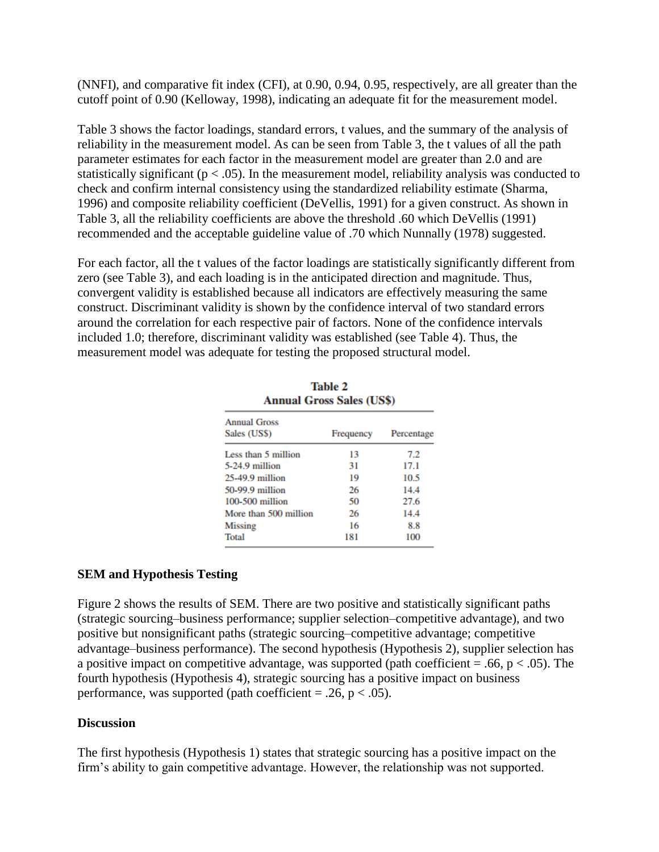(NNFI), and comparative fit index (CFI), at 0.90, 0.94, 0.95, respectively, are all greater than the cutoff point of 0.90 (Kelloway, 1998), indicating an adequate fit for the measurement model.

Table 3 shows the factor loadings, standard errors, t values, and the summary of the analysis of reliability in the measurement model. As can be seen from Table 3, the t values of all the path parameter estimates for each factor in the measurement model are greater than 2.0 and are statistically significant ( $p < .05$ ). In the measurement model, reliability analysis was conducted to check and confirm internal consistency using the standardized reliability estimate (Sharma, 1996) and composite reliability coefficient (DeVellis, 1991) for a given construct. As shown in Table 3, all the reliability coefficients are above the threshold .60 which DeVellis (1991) recommended and the acceptable guideline value of .70 which Nunnally (1978) suggested.

For each factor, all the t values of the factor loadings are statistically significantly different from zero (see Table 3), and each loading is in the anticipated direction and magnitude. Thus, convergent validity is established because all indicators are effectively measuring the same construct. Discriminant validity is shown by the confidence interval of two standard errors around the correlation for each respective pair of factors. None of the confidence intervals included 1.0; therefore, discriminant validity was established (see Table 4). Thus, the measurement model was adequate for testing the proposed structural model.

| <b>Annual Gross</b><br>Sales (US\$) | Frequency | Percentage |
|-------------------------------------|-----------|------------|
| Less than 5 million                 | 13        | 7.2        |
| 5-24.9 million                      | 31        | 17.1       |
| $25-49.9$ million                   | 19        | 10.5       |
| 50-99.9 million                     | 26        | 14.4       |
| 100-500 million                     | 50        | 27.6       |
| More than 500 million               | 26        | 14.4       |
| <b>Missing</b>                      | 16        | 8.8        |
| Total                               | 181       | 100        |

**Table 2 Annual Gross Sales (US\$)** 

# **SEM and Hypothesis Testing**

Figure 2 shows the results of SEM. There are two positive and statistically significant paths (strategic sourcing–business performance; supplier selection–competitive advantage), and two positive but nonsignificant paths (strategic sourcing–competitive advantage; competitive advantage–business performance). The second hypothesis (Hypothesis 2), supplier selection has a positive impact on competitive advantage, was supported (path coefficient  $= .66$ ,  $p < .05$ ). The fourth hypothesis (Hypothesis 4), strategic sourcing has a positive impact on business performance, was supported (path coefficient = .26,  $p < .05$ ).

## **Discussion**

The first hypothesis (Hypothesis 1) states that strategic sourcing has a positive impact on the firm's ability to gain competitive advantage. However, the relationship was not supported.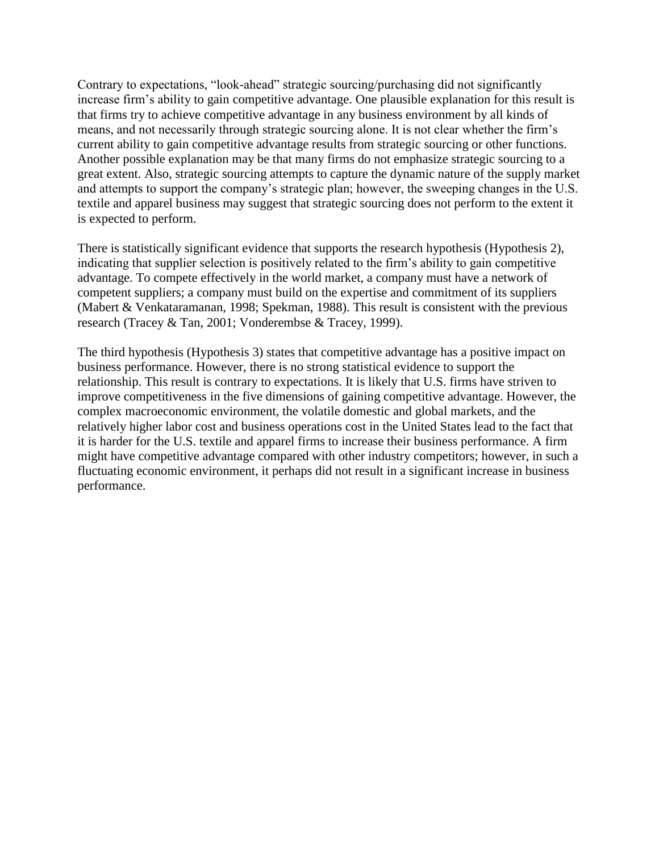Contrary to expectations, "look-ahead" strategic sourcing/purchasing did not significantly increase firm's ability to gain competitive advantage. One plausible explanation for this result is that firms try to achieve competitive advantage in any business environment by all kinds of means, and not necessarily through strategic sourcing alone. It is not clear whether the firm's current ability to gain competitive advantage results from strategic sourcing or other functions. Another possible explanation may be that many firms do not emphasize strategic sourcing to a great extent. Also, strategic sourcing attempts to capture the dynamic nature of the supply market and attempts to support the company's strategic plan; however, the sweeping changes in the U.S. textile and apparel business may suggest that strategic sourcing does not perform to the extent it is expected to perform.

There is statistically significant evidence that supports the research hypothesis (Hypothesis 2), indicating that supplier selection is positively related to the firm's ability to gain competitive advantage. To compete effectively in the world market, a company must have a network of competent suppliers; a company must build on the expertise and commitment of its suppliers (Mabert & Venkataramanan, 1998; Spekman, 1988). This result is consistent with the previous research (Tracey & Tan, 2001; Vonderembse & Tracey, 1999).

The third hypothesis (Hypothesis 3) states that competitive advantage has a positive impact on business performance. However, there is no strong statistical evidence to support the relationship. This result is contrary to expectations. It is likely that U.S. firms have striven to improve competitiveness in the five dimensions of gaining competitive advantage. However, the complex macroeconomic environment, the volatile domestic and global markets, and the relatively higher labor cost and business operations cost in the United States lead to the fact that it is harder for the U.S. textile and apparel firms to increase their business performance. A firm might have competitive advantage compared with other industry competitors; however, in such a fluctuating economic environment, it perhaps did not result in a significant increase in business performance.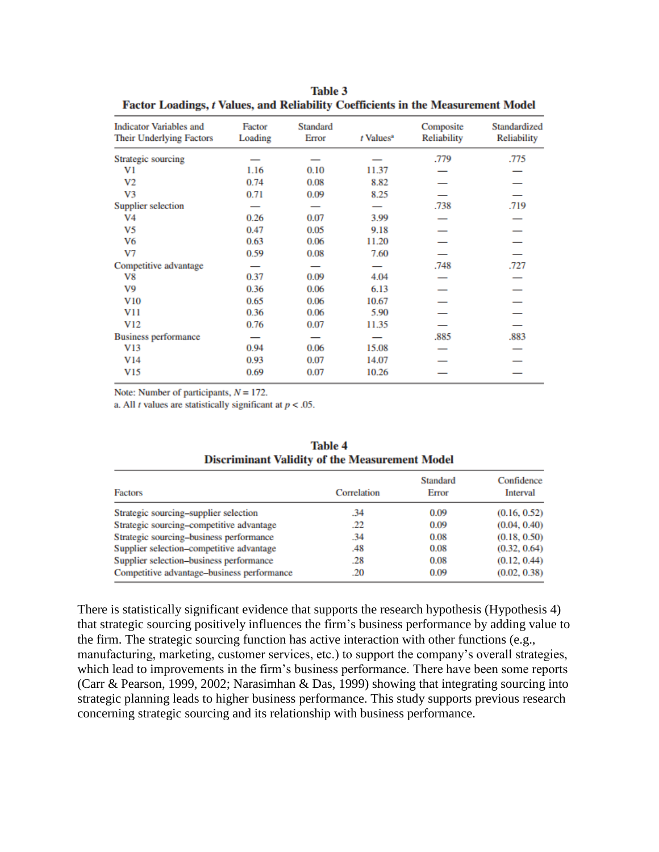| <b>Indicator Variables and</b><br>Their Underlying Factors | Factor<br>Loading | Standard<br>Error | t Values <sup>a</sup> | Composite<br><b>Reliability</b> | Standardized<br><b>Reliability</b> |
|------------------------------------------------------------|-------------------|-------------------|-----------------------|---------------------------------|------------------------------------|
| <b>Strategic sourcing</b>                                  |                   |                   |                       | .779                            | .775                               |
| VI                                                         | 1.16              | 0.10              | 11.37                 |                                 |                                    |
| V2                                                         | 0.74              | 0.08              | 8.82                  |                                 |                                    |
| V3                                                         | 0.71              | 0.09              | 8.25                  |                                 |                                    |
| <b>Supplier selection</b>                                  |                   |                   | —                     | .738                            | .719                               |
| V4                                                         | 0.26              | 0.07              | 3.99                  |                                 |                                    |
| V5                                                         | 0.47              | 0.05              | 9.18                  |                                 | —                                  |
| V6                                                         | 0.63              | 0.06              | 11.20                 |                                 |                                    |
| V7                                                         | 0.59              | 0.08              | 7.60                  |                                 |                                    |
| Competitive advantage                                      |                   |                   |                       | .748                            | .727                               |
| V8                                                         | 0.37              | 0.09              | 4.04                  |                                 |                                    |
| V9                                                         | 0.36              | 0.06              | 6.13                  |                                 |                                    |
| <b>V10</b>                                                 | 0.65              | 0.06              | 10.67                 |                                 |                                    |
| V11                                                        | 0.36              | 0.06              | 5.90                  |                                 |                                    |
| V12                                                        | 0.76              | 0.07              | 11.35                 |                                 |                                    |
| <b>Business performance</b>                                |                   |                   |                       | .885                            | .883                               |
| V13                                                        | 0.94              | 0.06              | 15.08                 |                                 |                                    |
| V14                                                        | 0.93              | 0.07              | 14.07                 |                                 |                                    |
| V15                                                        | 0.69              | 0.07              | 10.26                 |                                 |                                    |

**Table 3** Factor Loadings, t Values, and Reliability Coefficients in the Measurement Model

Note: Number of participants,  $N = 172$ .

a. All *t* values are statistically significant at  $p < .05$ .

| <b>Factors</b>                             | Correlation | Standard<br>Error | Confidence<br><b>Interval</b> |  |
|--------------------------------------------|-------------|-------------------|-------------------------------|--|
| Strategic sourcing-supplier selection      | .34         | 0.09              | (0.16, 0.52)                  |  |
| Strategic sourcing-competitive advantage   | .22         | 0.09              | (0.04, 0.40)                  |  |
| Strategic sourcing-business performance    | .34         | 0.08              | (0.18, 0.50)                  |  |
| Supplier selection-competitive advantage   | .48         | 0.08              | (0.32, 0.64)                  |  |
| Supplier selection-business performance    | .28         | 0.08              | (0.12, 0.44)                  |  |
| Competitive advantage-business performance | .20         | 0.09              | (0.02, 0.38)                  |  |

**Table 4 Discriminant Validity of the Measurement Model** 

There is statistically significant evidence that supports the research hypothesis (Hypothesis 4) that strategic sourcing positively influences the firm's business performance by adding value to the firm. The strategic sourcing function has active interaction with other functions (e.g., manufacturing, marketing, customer services, etc.) to support the company's overall strategies, which lead to improvements in the firm's business performance. There have been some reports (Carr & Pearson, 1999, 2002; Narasimhan & Das, 1999) showing that integrating sourcing into strategic planning leads to higher business performance. This study supports previous research concerning strategic sourcing and its relationship with business performance.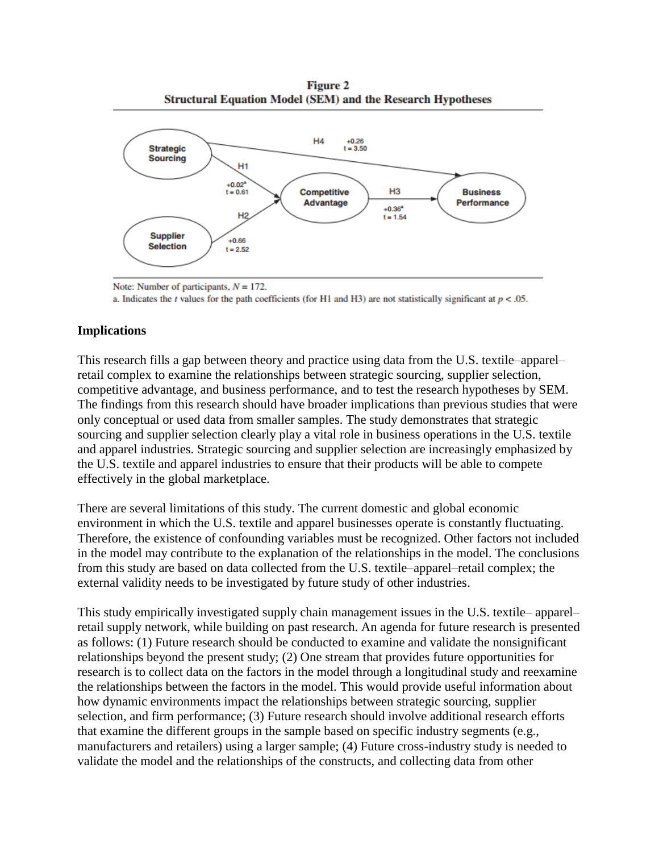**Figure 2 Structural Equation Model (SEM) and the Research Hypotheses** 



Note: Number of participants,  $N = 172$ . a. Indicates the *t* values for the path coefficients (for H1 and H3) are not statistically significant at  $p < .05$ .

#### **Implications**

This research fills a gap between theory and practice using data from the U.S. textile–apparel– retail complex to examine the relationships between strategic sourcing, supplier selection, competitive advantage, and business performance, and to test the research hypotheses by SEM. The findings from this research should have broader implications than previous studies that were only conceptual or used data from smaller samples. The study demonstrates that strategic sourcing and supplier selection clearly play a vital role in business operations in the U.S. textile and apparel industries. Strategic sourcing and supplier selection are increasingly emphasized by the U.S. textile and apparel industries to ensure that their products will be able to compete effectively in the global marketplace.

There are several limitations of this study. The current domestic and global economic environment in which the U.S. textile and apparel businesses operate is constantly fluctuating. Therefore, the existence of confounding variables must be recognized. Other factors not included in the model may contribute to the explanation of the relationships in the model. The conclusions from this study are based on data collected from the U.S. textile–apparel–retail complex; the external validity needs to be investigated by future study of other industries.

This study empirically investigated supply chain management issues in the U.S. textile– apparel– retail supply network, while building on past research. An agenda for future research is presented as follows: (1) Future research should be conducted to examine and validate the nonsignificant relationships beyond the present study; (2) One stream that provides future opportunities for research is to collect data on the factors in the model through a longitudinal study and reexamine the relationships between the factors in the model. This would provide useful information about how dynamic environments impact the relationships between strategic sourcing, supplier selection, and firm performance; (3) Future research should involve additional research efforts that examine the different groups in the sample based on specific industry segments (e.g., manufacturers and retailers) using a larger sample; (4) Future cross-industry study is needed to validate the model and the relationships of the constructs, and collecting data from other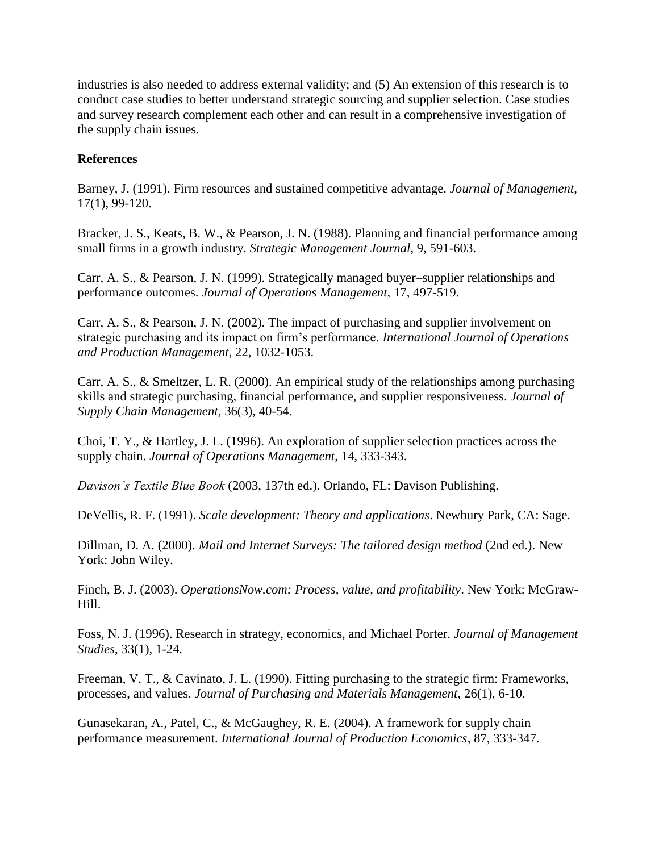industries is also needed to address external validity; and (5) An extension of this research is to conduct case studies to better understand strategic sourcing and supplier selection. Case studies and survey research complement each other and can result in a comprehensive investigation of the supply chain issues.

## **References**

Barney, J. (1991). Firm resources and sustained competitive advantage. *Journal of Management*, 17(1), 99-120.

Bracker, J. S., Keats, B. W., & Pearson, J. N. (1988). Planning and financial performance among small firms in a growth industry. *Strategic Management Journal*, 9, 591-603.

Carr, A. S., & Pearson, J. N. (1999). Strategically managed buyer–supplier relationships and performance outcomes. *Journal of Operations Management*, 17, 497-519.

Carr, A. S., & Pearson, J. N. (2002). The impact of purchasing and supplier involvement on strategic purchasing and its impact on firm's performance. *International Journal of Operations and Production Management*, 22, 1032-1053.

Carr, A. S., & Smeltzer, L. R. (2000). An empirical study of the relationships among purchasing skills and strategic purchasing, financial performance, and supplier responsiveness. *Journal of Supply Chain Management*, 36(3), 40-54.

Choi, T. Y., & Hartley, J. L. (1996). An exploration of supplier selection practices across the supply chain. *Journal of Operations Management*, 14, 333-343.

*Davison's Textile Blue Book* (2003, 137th ed.). Orlando, FL: Davison Publishing.

DeVellis, R. F. (1991). *Scale development: Theory and applications*. Newbury Park, CA: Sage.

Dillman, D. A. (2000). *Mail and Internet Surveys: The tailored design method* (2nd ed.). New York: John Wiley.

Finch, B. J. (2003). *OperationsNow.com: Process, value, and profitability*. New York: McGraw-Hill.

Foss, N. J. (1996). Research in strategy, economics, and Michael Porter. *Journal of Management Studies*, 33(1), 1-24.

Freeman, V. T., & Cavinato, J. L. (1990). Fitting purchasing to the strategic firm: Frameworks, processes, and values. *Journal of Purchasing and Materials Management*, 26(1), 6-10.

Gunasekaran, A., Patel, C., & McGaughey, R. E. (2004). A framework for supply chain performance measurement. *International Journal of Production Economics*, 87, 333-347.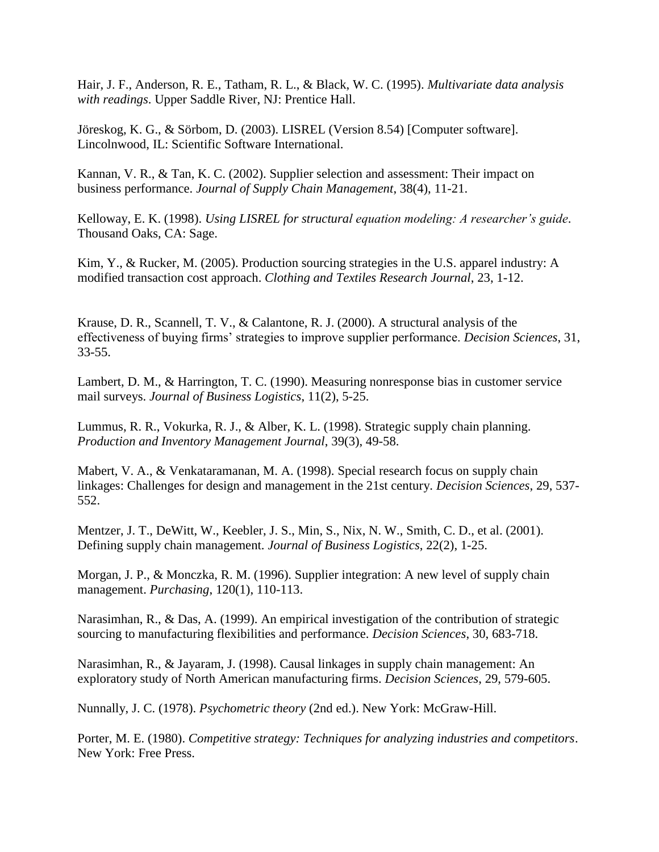Hair, J. F., Anderson, R. E., Tatham, R. L., & Black, W. C. (1995). *Multivariate data analysis with readings*. Upper Saddle River, NJ: Prentice Hall.

Jöreskog, K. G., & Sörbom, D. (2003). LISREL (Version 8.54) [Computer software]. Lincolnwood, IL: Scientific Software International.

Kannan, V. R., & Tan, K. C. (2002). Supplier selection and assessment: Their impact on business performance. *Journal of Supply Chain Management*, 38(4), 11-21.

Kelloway, E. K. (1998). *Using LISREL for structural equation modeling: A researcher's guide*. Thousand Oaks, CA: Sage.

Kim, Y., & Rucker, M. (2005). Production sourcing strategies in the U.S. apparel industry: A modified transaction cost approach. *Clothing and Textiles Research Journal*, 23, 1-12.

Krause, D. R., Scannell, T. V., & Calantone, R. J. (2000). A structural analysis of the effectiveness of buying firms' strategies to improve supplier performance. *Decision Sciences*, 31, 33-55.

Lambert, D. M., & Harrington, T. C. (1990). Measuring nonresponse bias in customer service mail surveys. *Journal of Business Logistics*, 11(2), 5-25.

Lummus, R. R., Vokurka, R. J., & Alber, K. L. (1998). Strategic supply chain planning. *Production and Inventory Management Journal*, 39(3), 49-58.

Mabert, V. A., & Venkataramanan, M. A. (1998). Special research focus on supply chain linkages: Challenges for design and management in the 21st century. *Decision Sciences*, 29, 537- 552.

Mentzer, J. T., DeWitt, W., Keebler, J. S., Min, S., Nix, N. W., Smith, C. D., et al. (2001). Defining supply chain management. *Journal of Business Logistics*, 22(2), 1-25.

Morgan, J. P., & Monczka, R. M. (1996). Supplier integration: A new level of supply chain management. *Purchasing*, 120(1), 110-113.

Narasimhan, R., & Das, A. (1999). An empirical investigation of the contribution of strategic sourcing to manufacturing flexibilities and performance. *Decision Sciences*, 30, 683-718.

Narasimhan, R., & Jayaram, J. (1998). Causal linkages in supply chain management: An exploratory study of North American manufacturing firms. *Decision Sciences*, 29, 579-605.

Nunnally, J. C. (1978). *Psychometric theory* (2nd ed.). New York: McGraw-Hill.

Porter, M. E. (1980). *Competitive strategy: Techniques for analyzing industries and competitors*. New York: Free Press.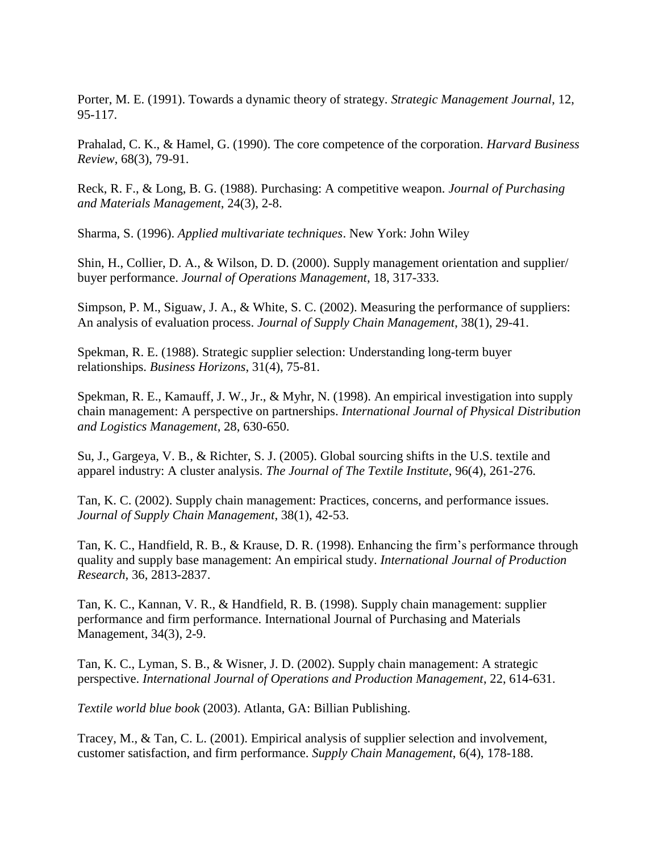Porter, M. E. (1991). Towards a dynamic theory of strategy. *Strategic Management Journal*, 12, 95-117.

Prahalad, C. K., & Hamel, G. (1990). The core competence of the corporation. *Harvard Business Review*, 68(3), 79-91.

Reck, R. F., & Long, B. G. (1988). Purchasing: A competitive weapon. *Journal of Purchasing and Materials Management*, 24(3), 2-8.

Sharma, S. (1996). *Applied multivariate techniques*. New York: John Wiley

Shin, H., Collier, D. A., & Wilson, D. D. (2000). Supply management orientation and supplier/ buyer performance. *Journal of Operations Management*, 18, 317-333.

Simpson, P. M., Siguaw, J. A., & White, S. C. (2002). Measuring the performance of suppliers: An analysis of evaluation process. *Journal of Supply Chain Management*, 38(1), 29-41.

Spekman, R. E. (1988). Strategic supplier selection: Understanding long-term buyer relationships. *Business Horizons*, 31(4), 75-81.

Spekman, R. E., Kamauff, J. W., Jr., & Myhr, N. (1998). An empirical investigation into supply chain management: A perspective on partnerships. *International Journal of Physical Distribution and Logistics Management*, 28, 630-650.

Su, J., Gargeya, V. B., & Richter, S. J. (2005). Global sourcing shifts in the U.S. textile and apparel industry: A cluster analysis. *The Journal of The Textile Institute*, 96(4), 261-276.

Tan, K. C. (2002). Supply chain management: Practices, concerns, and performance issues. *Journal of Supply Chain Management*, 38(1), 42-53.

Tan, K. C., Handfield, R. B., & Krause, D. R. (1998). Enhancing the firm's performance through quality and supply base management: An empirical study. *International Journal of Production Research*, 36, 2813-2837.

Tan, K. C., Kannan, V. R., & Handfield, R. B. (1998). Supply chain management: supplier performance and firm performance. International Journal of Purchasing and Materials Management, 34(3), 2-9.

Tan, K. C., Lyman, S. B., & Wisner, J. D. (2002). Supply chain management: A strategic perspective. *International Journal of Operations and Production Management*, 22, 614-631.

*Textile world blue book* (2003). Atlanta, GA: Billian Publishing.

Tracey, M., & Tan, C. L. (2001). Empirical analysis of supplier selection and involvement, customer satisfaction, and firm performance. *Supply Chain Management*, 6(4), 178-188.